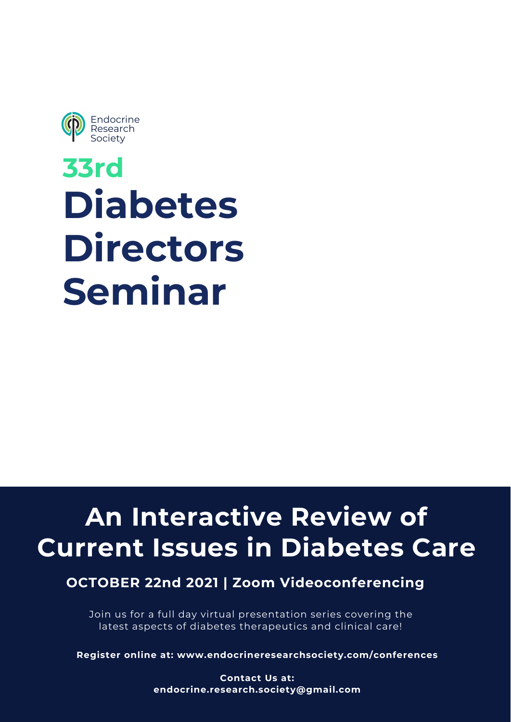**33rd Diabetes Directors**

# **Seminar**

**Register online at: www.endocrineresearchsociety.com/conferences**

**Contact Us at: endocrine.research.society@gmail.com**



Join us for a full day virtual presentation series covering the latest aspects of diabetes therapeutics and clinical care!

# **An Interactive Review of Current Issues in Diabetes Care**

**OCTOBER 22nd 2021 | Zoom Videoconferencing**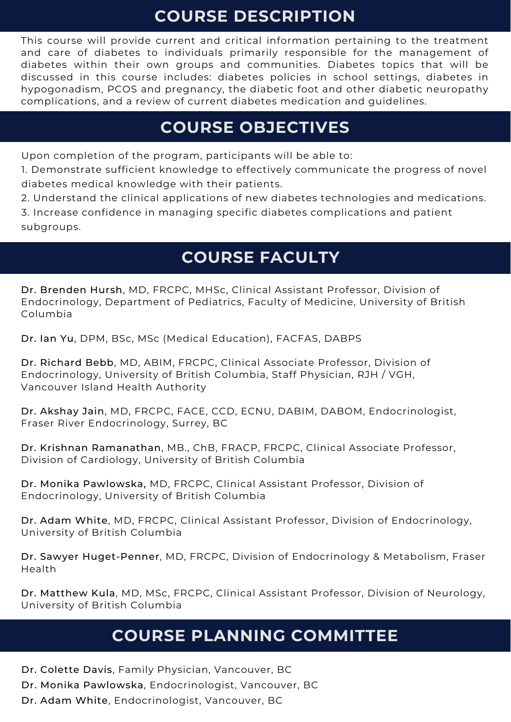Dr. Colette Davis, Family Physician, Vancouver, BC

Dr. Monika Pawlowska, Endocrinologist, Vancouver, BC

Dr. Adam White, Endocrinologist, Vancouver, BC

Dr. Brenden Hursh, MD, FRCPC, MHSc, Clinical Assistant Professor, Division of Endocrinology, Department of Pediatrics, Faculty of Medicine, University of British Columbia

Dr. Ian Yu, DPM, BSc, MSc (Medical Education), FACFAS, DABPS

Dr. Richard Bebb, MD, ABIM, FRCPC, Clinical Associate Professor, Division of Endocrinology, University of British Columbia, Staff Physician, RJH / VGH, Vancouver Island Health Authority

Dr. Akshay Jain, MD, FRCPC, FACE, CCD, ECNU, DABIM, DABOM, Endocrinologist, Fraser River Endocrinology, Surrey, BC

Dr. Krishnan Ramanathan, MB., ChB, FRACP, FRCPC, Clinical Associate Professor, Division of Cardiology, University of British Columbia

Dr. Monika Pawlowska, MD, FRCPC, Clinical Assistant Professor, Division of Endocrinology, University of British Columbia

Dr. Adam White, MD, FRCPC, Clinical Assistant Professor, Division of Endocrinology, University of British Columbia

Dr. Sawyer Huget-Penner, MD, FRCPC, Division of Endocrinology & Metabolism, Fraser Health

Dr. Matthew Kula, MD, MSc, FRCPC, Clinical Assistant Professor, Division of Neurology, University of British Columbia

Upon completion of the program, participants will be able to:

1. Demonstrate sufficient knowledge to effectively communicate the progress of novel diabetes medical knowledge with their patients.

2. Understand the clinical applications of new diabetes technologies and medications. 3. Increase confidence in managing specific diabetes complications and patient subgroups.

This course will provide current and critical information pertaining to the treatment and care of diabetes to individuals primarily responsible for the management of diabetes within their own groups and communities. Diabetes topics that will be discussed in this course includes: diabetes policies in school settings, diabetes in hypogonadism, PCOS and pregnancy, the diabetic foot and other diabetic neuropathy complications, and a review of current diabetes medication and guidelines.

#### **COURSE FACULTY**

## **COURSE OBJECTIVES**

## **COURSE DESCRIPTION**

# **COURSE PLANNING COMMITTEE**